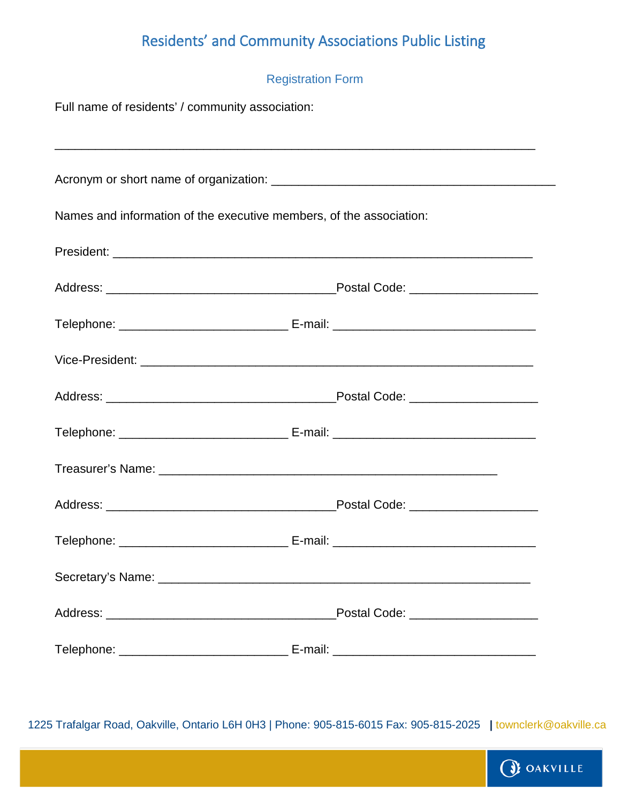## Residents' and Community Associations Public Listing

| <b>Registration Form</b>                                                         |                                     |
|----------------------------------------------------------------------------------|-------------------------------------|
| Full name of residents' / community association:                                 |                                     |
| ,我们也不能在这里的人,我们也不能在这里的人,我们也不能在这里的人,我们也不能在这里的人,我们也不能在这里的人,我们也不能在这里的人,我们也不能在这里的人,我们 |                                     |
|                                                                                  |                                     |
| Names and information of the executive members, of the association:              |                                     |
|                                                                                  |                                     |
|                                                                                  |                                     |
|                                                                                  |                                     |
|                                                                                  |                                     |
|                                                                                  |                                     |
|                                                                                  |                                     |
|                                                                                  |                                     |
|                                                                                  |                                     |
|                                                                                  |                                     |
|                                                                                  |                                     |
|                                                                                  | Postal Code: ______________________ |
|                                                                                  |                                     |

1225 Trafalgar Road, Oakville, Ontario L6H 0H3 | Phone: 905-815-6015 Fax: 905-815-2025 **|** townclerk@oakville.ca